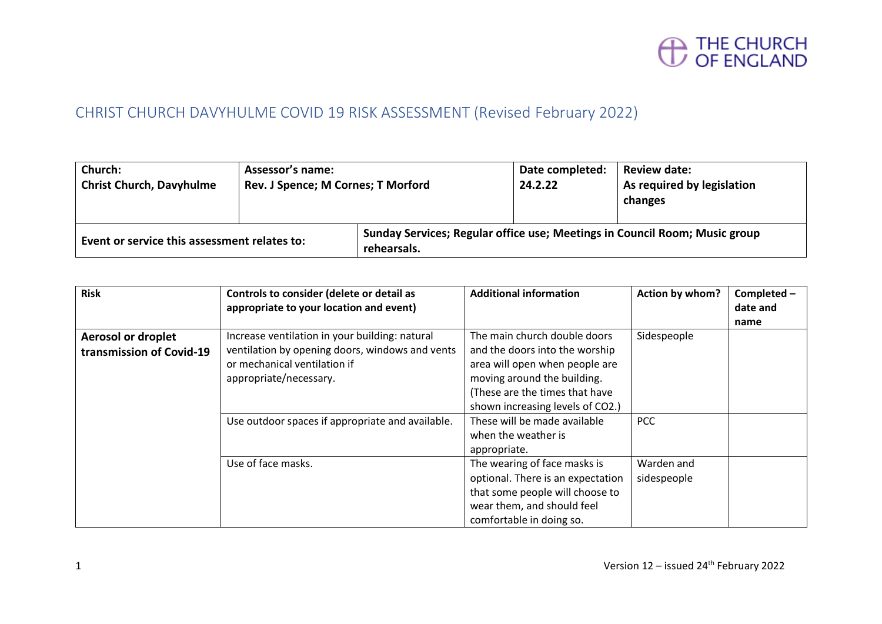

### CHRIST CHURCH DAVYHULME COVID 19 RISK ASSESSMENT (Revised February 2022)

| Church:<br><b>Christ Church, Davyhulme</b>   | Assessor's name:<br>Rev. J Spence; M Cornes; T Morford |                                                                                           | Date completed:<br>24.2.22 | <b>Review date:</b><br>As required by legislation<br>changes |
|----------------------------------------------|--------------------------------------------------------|-------------------------------------------------------------------------------------------|----------------------------|--------------------------------------------------------------|
| Event or service this assessment relates to: |                                                        | Sunday Services; Regular office use; Meetings in Council Room; Music group<br>rehearsals. |                            |                                                              |

| <b>Risk</b>               | Controls to consider (delete or detail as        | <b>Additional information</b>     | Action by whom? | Completed - |
|---------------------------|--------------------------------------------------|-----------------------------------|-----------------|-------------|
|                           | appropriate to your location and event)          |                                   |                 | date and    |
|                           |                                                  |                                   |                 | name        |
| <b>Aerosol or droplet</b> | Increase ventilation in your building: natural   | The main church double doors      | Sidespeople     |             |
| transmission of Covid-19  | ventilation by opening doors, windows and vents  | and the doors into the worship    |                 |             |
|                           | or mechanical ventilation if                     | area will open when people are    |                 |             |
|                           | appropriate/necessary.                           | moving around the building.       |                 |             |
|                           |                                                  | (These are the times that have    |                 |             |
|                           |                                                  | shown increasing levels of CO2.)  |                 |             |
|                           | Use outdoor spaces if appropriate and available. | These will be made available      | <b>PCC</b>      |             |
|                           |                                                  | when the weather is               |                 |             |
|                           |                                                  | appropriate.                      |                 |             |
|                           | Use of face masks.                               | The wearing of face masks is      | Warden and      |             |
|                           |                                                  | optional. There is an expectation | sidespeople     |             |
|                           |                                                  | that some people will choose to   |                 |             |
|                           |                                                  | wear them, and should feel        |                 |             |
|                           |                                                  | comfortable in doing so.          |                 |             |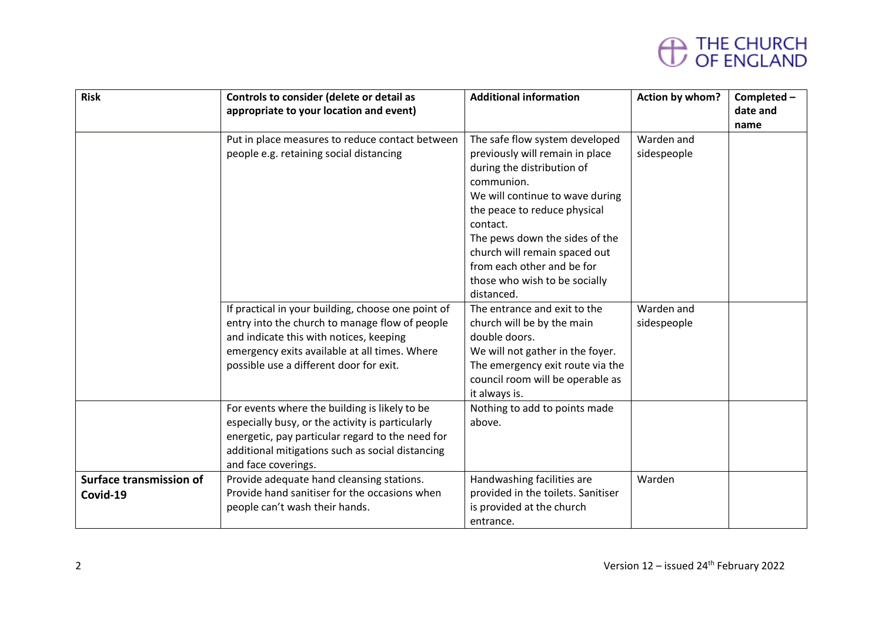| <b>Risk</b>             | Controls to consider (delete or detail as          | <b>Additional information</b>      | Action by whom? | Completed - |
|-------------------------|----------------------------------------------------|------------------------------------|-----------------|-------------|
|                         | appropriate to your location and event)            |                                    |                 | date and    |
|                         |                                                    |                                    |                 | name        |
|                         | Put in place measures to reduce contact between    | The safe flow system developed     | Warden and      |             |
|                         | people e.g. retaining social distancing            | previously will remain in place    | sidespeople     |             |
|                         |                                                    | during the distribution of         |                 |             |
|                         |                                                    | communion.                         |                 |             |
|                         |                                                    | We will continue to wave during    |                 |             |
|                         |                                                    | the peace to reduce physical       |                 |             |
|                         |                                                    | contact.                           |                 |             |
|                         |                                                    | The pews down the sides of the     |                 |             |
|                         |                                                    | church will remain spaced out      |                 |             |
|                         |                                                    | from each other and be for         |                 |             |
|                         |                                                    | those who wish to be socially      |                 |             |
|                         |                                                    | distanced.                         |                 |             |
|                         | If practical in your building, choose one point of | The entrance and exit to the       | Warden and      |             |
|                         | entry into the church to manage flow of people     | church will be by the main         | sidespeople     |             |
|                         | and indicate this with notices, keeping            | double doors.                      |                 |             |
|                         | emergency exits available at all times. Where      | We will not gather in the foyer.   |                 |             |
|                         | possible use a different door for exit.            | The emergency exit route via the   |                 |             |
|                         |                                                    | council room will be operable as   |                 |             |
|                         |                                                    | it always is.                      |                 |             |
|                         | For events where the building is likely to be      | Nothing to add to points made      |                 |             |
|                         | especially busy, or the activity is particularly   | above.                             |                 |             |
|                         | energetic, pay particular regard to the need for   |                                    |                 |             |
|                         | additional mitigations such as social distancing   |                                    |                 |             |
|                         | and face coverings.                                |                                    |                 |             |
| Surface transmission of | Provide adequate hand cleansing stations.          | Handwashing facilities are         | Warden          |             |
| Covid-19                | Provide hand sanitiser for the occasions when      | provided in the toilets. Sanitiser |                 |             |
|                         | people can't wash their hands.                     | is provided at the church          |                 |             |
|                         |                                                    | entrance.                          |                 |             |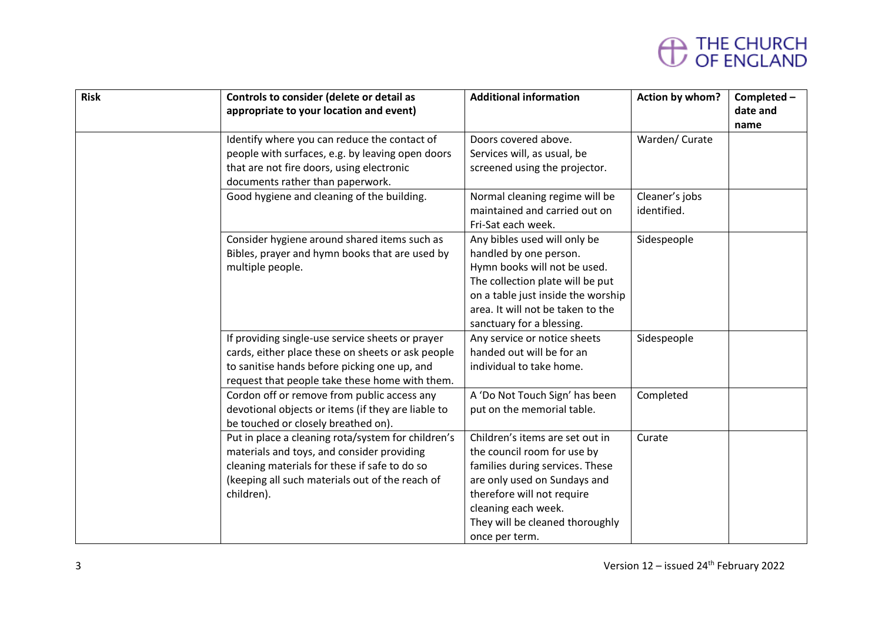| <b>Risk</b> | Controls to consider (delete or detail as          | <b>Additional information</b>      | Action by whom? | Completed - |
|-------------|----------------------------------------------------|------------------------------------|-----------------|-------------|
|             | appropriate to your location and event)            |                                    |                 | date and    |
|             |                                                    |                                    |                 | name        |
|             | Identify where you can reduce the contact of       | Doors covered above.               | Warden/ Curate  |             |
|             | people with surfaces, e.g. by leaving open doors   | Services will, as usual, be        |                 |             |
|             | that are not fire doors, using electronic          | screened using the projector.      |                 |             |
|             | documents rather than paperwork.                   |                                    |                 |             |
|             | Good hygiene and cleaning of the building.         | Normal cleaning regime will be     | Cleaner's jobs  |             |
|             |                                                    | maintained and carried out on      | identified.     |             |
|             |                                                    | Fri-Sat each week.                 |                 |             |
|             | Consider hygiene around shared items such as       | Any bibles used will only be       | Sidespeople     |             |
|             | Bibles, prayer and hymn books that are used by     | handled by one person.             |                 |             |
|             | multiple people.                                   | Hymn books will not be used.       |                 |             |
|             |                                                    | The collection plate will be put   |                 |             |
|             |                                                    | on a table just inside the worship |                 |             |
|             |                                                    | area. It will not be taken to the  |                 |             |
|             |                                                    | sanctuary for a blessing.          |                 |             |
|             | If providing single-use service sheets or prayer   | Any service or notice sheets       | Sidespeople     |             |
|             | cards, either place these on sheets or ask people  | handed out will be for an          |                 |             |
|             | to sanitise hands before picking one up, and       | individual to take home.           |                 |             |
|             | request that people take these home with them.     |                                    |                 |             |
|             | Cordon off or remove from public access any        | A 'Do Not Touch Sign' has been     | Completed       |             |
|             | devotional objects or items (if they are liable to | put on the memorial table.         |                 |             |
|             | be touched or closely breathed on).                |                                    |                 |             |
|             | Put in place a cleaning rota/system for children's | Children's items are set out in    | Curate          |             |
|             | materials and toys, and consider providing         | the council room for use by        |                 |             |
|             | cleaning materials for these if safe to do so      | families during services. These    |                 |             |
|             | (keeping all such materials out of the reach of    | are only used on Sundays and       |                 |             |
|             | children).                                         | therefore will not require         |                 |             |
|             |                                                    | cleaning each week.                |                 |             |
|             |                                                    | They will be cleaned thoroughly    |                 |             |
|             |                                                    | once per term.                     |                 |             |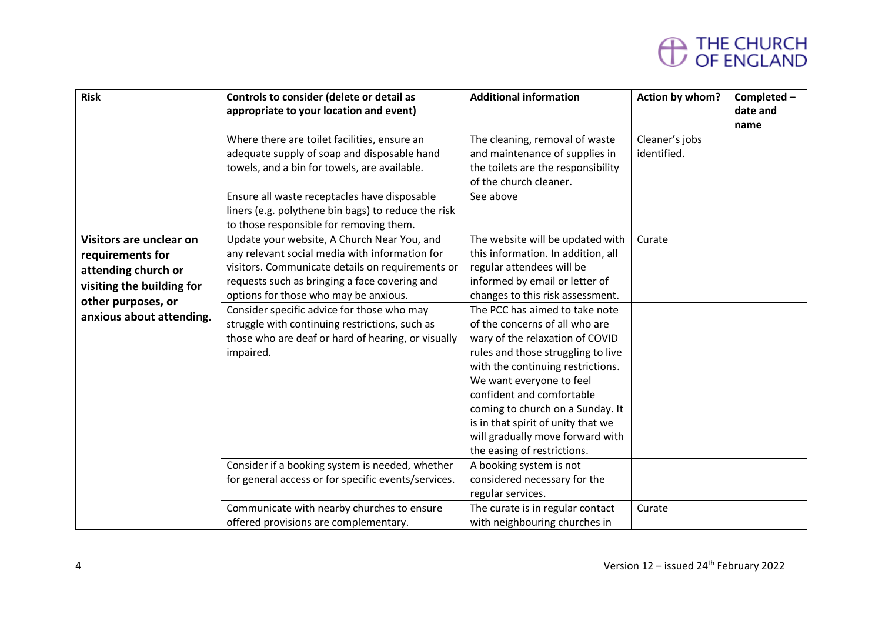| <b>Risk</b>                                                                                                                                       | Controls to consider (delete or detail as<br>appropriate to your location and event)                                                                                                                                                                                                                                                                                                                           | <b>Additional information</b>                                                                                                                                                                                                                                                                                                                                                                                                                                                                                                                                     | Action by whom?               | Completed -<br>date and<br>name |
|---------------------------------------------------------------------------------------------------------------------------------------------------|----------------------------------------------------------------------------------------------------------------------------------------------------------------------------------------------------------------------------------------------------------------------------------------------------------------------------------------------------------------------------------------------------------------|-------------------------------------------------------------------------------------------------------------------------------------------------------------------------------------------------------------------------------------------------------------------------------------------------------------------------------------------------------------------------------------------------------------------------------------------------------------------------------------------------------------------------------------------------------------------|-------------------------------|---------------------------------|
|                                                                                                                                                   | Where there are toilet facilities, ensure an<br>adequate supply of soap and disposable hand<br>towels, and a bin for towels, are available.<br>Ensure all waste receptacles have disposable                                                                                                                                                                                                                    | The cleaning, removal of waste<br>and maintenance of supplies in<br>the toilets are the responsibility<br>of the church cleaner.<br>See above                                                                                                                                                                                                                                                                                                                                                                                                                     | Cleaner's jobs<br>identified. |                                 |
|                                                                                                                                                   | liners (e.g. polythene bin bags) to reduce the risk<br>to those responsible for removing them.                                                                                                                                                                                                                                                                                                                 |                                                                                                                                                                                                                                                                                                                                                                                                                                                                                                                                                                   |                               |                                 |
| Visitors are unclear on<br>requirements for<br>attending church or<br>visiting the building for<br>other purposes, or<br>anxious about attending. | Update your website, A Church Near You, and<br>any relevant social media with information for<br>visitors. Communicate details on requirements or<br>requests such as bringing a face covering and<br>options for those who may be anxious.<br>Consider specific advice for those who may<br>struggle with continuing restrictions, such as<br>those who are deaf or hard of hearing, or visually<br>impaired. | The website will be updated with<br>this information. In addition, all<br>regular attendees will be<br>informed by email or letter of<br>changes to this risk assessment.<br>The PCC has aimed to take note<br>of the concerns of all who are<br>wary of the relaxation of COVID<br>rules and those struggling to live<br>with the continuing restrictions.<br>We want everyone to feel<br>confident and comfortable<br>coming to church on a Sunday. It<br>is in that spirit of unity that we<br>will gradually move forward with<br>the easing of restrictions. | Curate                        |                                 |
|                                                                                                                                                   | Consider if a booking system is needed, whether<br>for general access or for specific events/services.                                                                                                                                                                                                                                                                                                         | A booking system is not<br>considered necessary for the<br>regular services.                                                                                                                                                                                                                                                                                                                                                                                                                                                                                      |                               |                                 |
|                                                                                                                                                   | Communicate with nearby churches to ensure<br>offered provisions are complementary.                                                                                                                                                                                                                                                                                                                            | The curate is in regular contact<br>with neighbouring churches in                                                                                                                                                                                                                                                                                                                                                                                                                                                                                                 | Curate                        |                                 |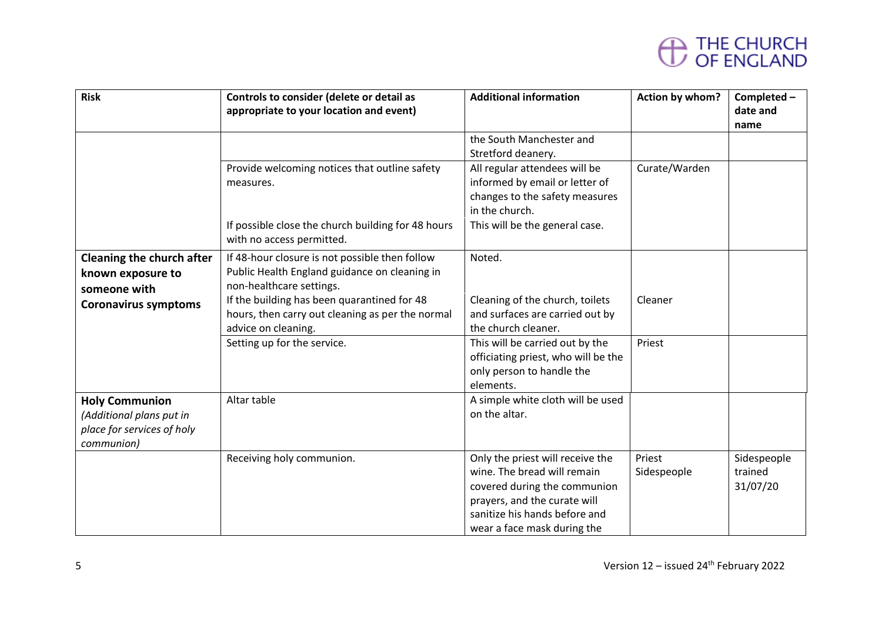| <b>Risk</b>                 | Controls to consider (delete or detail as          | <b>Additional information</b>       | Action by whom? | Completed - |
|-----------------------------|----------------------------------------------------|-------------------------------------|-----------------|-------------|
|                             | appropriate to your location and event)            |                                     |                 | date and    |
|                             |                                                    |                                     |                 | name        |
|                             |                                                    | the South Manchester and            |                 |             |
|                             |                                                    | Stretford deanery.                  |                 |             |
|                             | Provide welcoming notices that outline safety      | All regular attendees will be       | Curate/Warden   |             |
|                             | measures.                                          | informed by email or letter of      |                 |             |
|                             |                                                    | changes to the safety measures      |                 |             |
|                             |                                                    | in the church.                      |                 |             |
|                             | If possible close the church building for 48 hours | This will be the general case.      |                 |             |
|                             | with no access permitted.                          |                                     |                 |             |
| Cleaning the church after   | If 48-hour closure is not possible then follow     | Noted.                              |                 |             |
| known exposure to           | Public Health England guidance on cleaning in      |                                     |                 |             |
| someone with                | non-healthcare settings.                           |                                     |                 |             |
| <b>Coronavirus symptoms</b> | If the building has been quarantined for 48        | Cleaning of the church, toilets     | Cleaner         |             |
|                             | hours, then carry out cleaning as per the normal   | and surfaces are carried out by     |                 |             |
|                             | advice on cleaning.                                | the church cleaner.                 |                 |             |
|                             | Setting up for the service.                        | This will be carried out by the     | Priest          |             |
|                             |                                                    | officiating priest, who will be the |                 |             |
|                             |                                                    | only person to handle the           |                 |             |
|                             |                                                    | elements.                           |                 |             |
| <b>Holy Communion</b>       | Altar table                                        | A simple white cloth will be used   |                 |             |
| (Additional plans put in    |                                                    | on the altar.                       |                 |             |
| place for services of holy  |                                                    |                                     |                 |             |
| communion)                  |                                                    |                                     |                 |             |
|                             | Receiving holy communion.                          | Only the priest will receive the    | Priest          | Sidespeople |
|                             |                                                    | wine. The bread will remain         | Sidespeople     | trained     |
|                             |                                                    | covered during the communion        |                 | 31/07/20    |
|                             |                                                    | prayers, and the curate will        |                 |             |
|                             |                                                    | sanitize his hands before and       |                 |             |
|                             |                                                    | wear a face mask during the         |                 |             |